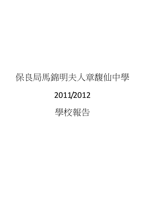# 保良局馬錦明夫人章馥仙中學

# 2011/2012

學校報告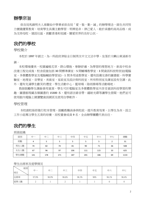## 辦學宗旨

保良局馬錦明夫人章馥仙中學秉承保良局「愛、敬、勤、誠」的辦學理念,師生共同努 力實踐優質教育,培育學生具備主動學習、明辨是非、律己愛人、敢於承擔的高尚品格,成 為支持母校、建設社區、貢獻香港和祖國、關愛世界的良好公民。

# 我們的學校

學校簡介

本校於 1997 年創立,為一所政府津貼全日制男女中文文法中學。坐落於大嶼山東涌新市 鎮。

本校環境優美,校園遍植花草,群山環抱,寧靜舒適,為學習的理想地方。新高中校舍 改建工程完成後,校舍設施包括 30 間標準課室、5 間輔導教學室、3 間資訊科技特別室(電腦 室、多媒體教學室及電腦輔助學習室)、1 間多用途教學室,還有設備完善的圖書館、科學實 驗室、地理室、音樂室、美術室、家政室及設計與科技室。所有特別室及課室設有空調。此 外,還有充滿學生歡笑的禮堂、學生活動中心、籃球場、陰雨操場等活動場地。

教師鼓勵學生課餘善用資源,學生可於電腦室及多媒體教學室內享受資訊科技學習的樂 趣。圖書館現藏各類圖書約 15300 本,還有語言錄音帶、鐳射光碟等讓學生借閱,他們並可 使用館內電腦上網瀏覽資訊網頁及使用自學軟件。

#### 學校管理

本校創校始即推行校本管理,鼓勵教職員參與校政,提升教育效果。以學生為本,設立 工作小組專注學生五育的培養。而校董會成員9名,全由辦學團體代表出任。

# 我們的學生

班級組織

| 級別   | 中一  | 中二  | 中三  | 中四  | 中五  | 中六  | 中七 | 總數   |
|------|-----|-----|-----|-----|-----|-----|----|------|
| 班數   | 4   |     |     |     |     |     |    | 31   |
| 男生人數 | 74  | 82  | 74  | 81  | 90  | 71  | 36 | 508  |
| 女生人數 | 67  | 96  | 97  | 106 | 111 | 115 | 33 | 625  |
| 學生總數 | 141 | 178 | 171 | 187 | 201 | 186 | 69 | 1133 |

#### 學生出席率及退學情況

| 級別<br>項目 | 中一    | 中二    | 中三    | 中四    | 中五  | 中六    | 中七    |
|----------|-------|-------|-------|-------|-----|-------|-------|
| 出席率      | 97.9% | 98.9% | 98.6% | 98.3% | 98% | 98.1% | 98.4% |
| 退學人數     | ∠     |       | ▵     |       |     |       |       |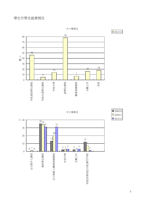

中六畢業生

 $\boxed{2011/12}$ 

中七畢業生



 $\overline{2009/10}$  $\Box$  2010/11  $\Box$  2011/12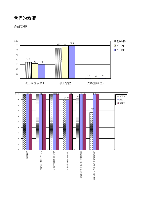# 我們的教師

## 教師資歷

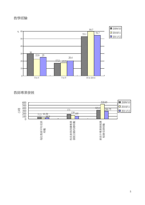### 教學經驗



## 教師專業發展

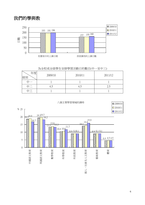# 我們的學與教



為全校或全級學生安排學習活動日的數目(中一至中三)

| 度<br>玍<br>級別 | 2009/10 | 2010/11 | 2011/12 |
|--------------|---------|---------|---------|
|              |         |         |         |
|              | 4.)     | 4.J     | L.J     |
|              |         |         |         |

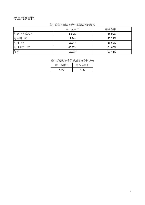# 學生閱讀習慣

### 學生從學校圖書館借用閱讀資料的頻次

|         | 中一至中三  | 中四至中七  |
|---------|--------|--------|
| 每周一次或以上 | 6.05%  | 15.05% |
| 每兩周一次   | 17.14% | 15.23% |
| 每月一次    | 16.94% | 10.60% |
| 每月少於一次  | 45.97% | 31.67% |
| 從不      | 13.91% | 27.44% |

學生從學校圖書館借用閱讀資料總數

| 一至中三 | 中四至中七 |
|------|-------|
| 4371 | 4722  |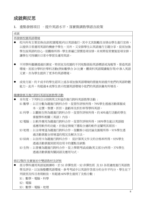# 成就與反思

1. 重點發展項目 - 提升英語水平,落實微調教學語言政策

| 成就                                            |
|-----------------------------------------------|
| 再發展校園英語環境                                     |
| 校内所有主要宣佈(包括校園電視)均以英語進行,其中尤其鼓勵及安排由學生進行宣佈,      |
| 以提供日常運用英語的機會予學生。另外,又安排學生以英語進行主題分享,從而加強        |
| 學生說英語的信心。從觀察所得,學生普遍已習慣是項安排。未來將恆常實施是項安排,       |
| 讓學生可持續於日常中學習及運用英語。                            |
|                                               |
| 不同學科繼續透過於課室、特別室及校園的不同地點張貼英語標語或海報等,營造英語        |
| 環境。而部分學科於學科活動(例如數學合 24 比賽、體育科英語閱讀報告等)中滲入英語    |
| 元素,亦為學生提供了更多的英語環境。                            |
| 成效方面,約7成半的學生認同上述各項加強英語環境的措施有助提升他們的英語聆聽        |
| 能力。此外,有超過 6 成學生表示校園英語環境今他們的英語詞彙有所增長。          |
|                                               |
| 繼續發展及推行跨科英語延展教學活動                             |
| 本年度,下列科目分別與英文科協作推行跨科英語教學活動:                   |
| S1 數學 : 以百分數為題進行跨科合作。從習作評核所得,79%學生透過活動掌握成     |
| 本、定價、售價、折扣、盈虧率及折扣率等學科英語。                      |
| S1 科學 :以觀察生物為題進行跨科合作。從習作評核所得,約 80%進行活動的學生     |
| 掌握學科相關(英語)內容。                                 |
| S2 電腦 : 以軟件應用為題進行跨科合作。從習作評核所得,100%學生能以英語描     |
| 述應用軟件的功能、於指定情境下選取合適的軟件並闡明其原因。                 |
| S3 地理 :以全球增溫為題進行跨科合作。從觀察小組討論及匯報所得,91%學生透      |
| 過活動掌握全球增溫的現況及解決方法。                            |
| S3 綜商 : 以信用卡為題進行跨科合作。 從計算英文作文的合格率所得,92%學生     |
| 透過活動掌握到使用信用卡的優點及缺點                            |
| S3 生物 : 以營養為題進行跨科合作。從上學期考試成績(英文部分)所得,37%學生    |
| 透過活動掌握有關詞語及應用句式。                              |
| 修訂/製作及實施初中雙語教材及評核                             |
| 部分學科運用英語延展課時,於 S1 非彈性班、S2 非彈性班 及 S3 各班適度進行英語教 |
| 學及評估,以加強整體英語環境。參考考試中以英語作答部分的全年平均分,學生在下        |
| 列級別及科目表現較佳,有超過 60%學生達到了及格分數 :                 |
| S1:數學、電腦、科學                                   |
|                                               |

- S2 : 電腦
- S3 : 數學、電腦、地理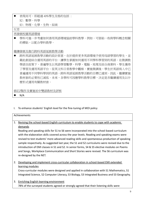● 表現尚可,即超過 40%學生及格的包括: S2 : 數學、科學

S3 : 物理、化學、生物、綜商

反思

### 再發展校園英語環境

● 學科可進一步考慮如何善用英語環境協助學科教學。例如,可張貼一些與學科概念相關 的標貼,以配合學科教學。

繼續發展及推行跨科英語延展教學活動

● 跨科英語延展教學活動的設計原意,在於提供更多英語環境予使用母語學習的學生,並 藉此創造綜合運用英語的平台,讓學生掌握如何運用不同學科學習到的英語。在微調教 學語言政策下,普遍學生以英語學習數學、科學、電腦、地理及綜合商業科,學生獲得 了學習及運用英語平台。從英文科日常教學中觀察,實施微調後,學生於英語寫入中已 普遍運用不同學科學到的英語,跨科英語延展教學活動的目標已達到。因此,繼續實施 教材套的必要性已減低。未來,各學科可因應學科教學目標,決定是否繼續運用及以什 麼形式運用有關教材套。

修訂/製作及實施初中雙語教材及評核

N/A

I. To enhance students' English level for the fine-tuning of MOI policy

|    | Achievements                                                                                                                                                                                                                                                                                                                                                                                                                                                                                                                                                                                                                                                                                                             |  |  |  |  |
|----|--------------------------------------------------------------------------------------------------------------------------------------------------------------------------------------------------------------------------------------------------------------------------------------------------------------------------------------------------------------------------------------------------------------------------------------------------------------------------------------------------------------------------------------------------------------------------------------------------------------------------------------------------------------------------------------------------------------------------|--|--|--|--|
| 1. | Revising the school-based English curriculum to enable students to cope with academic<br>demands<br>Reading and speaking skills for S1 to S6 were incorporated into the school-based curriculum<br>with the elaboration skills covered across the year levels. Reading and speaking exams were<br>revised to test students' more advanced reading skills and spontaneous production of speaking<br>sample respectively. As suggested last year, the S1 and S2 curriculums were revised due to the<br>introduction of EMI classes in S1 and S2. In senior forms, S4 & S5 elective modules on Poems<br>and Songs, Workplace Communication and Short Stories were revised. The S6 curriculum was<br>re-designed by the NET. |  |  |  |  |
| 2. | Developing and implement cross-curricular collaboration in school-based EMI extended<br><u>learning modules</u><br>Cross-curricular modules were designed and applied in collaboration with S1 Mathematics, S1<br>Integrated Science, S2 Computer Literacy, S3 Biology, S3 Integrated Business and S3 Geography.                                                                                                                                                                                                                                                                                                                                                                                                         |  |  |  |  |

3. Enriching English learning environment 78% of the surveyed students agreed or strongly agreed that their listening skills were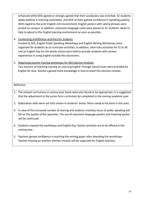enhanced while 65% agreed or strongly agreed that their vocabulary was enriched. 32 students spoke publicly in morning assemblies, and 82% of them gained confidence in speaking publicly. With regard to the print English-rich environment, English posters with catchy phrases were posted on campus. In addition, classroom language cards were placed on S1 students' desks to help to adjust to the English learning environment as soon as possible.

4. Conducting multifarious activities for students

Funded by EES, English Public Speaking Workshops and English Writing Workshops were organized for students as co-curricular activities. In addition, inter-class activities for S1 to S6 and an English Day for the whole school were held to provide students with various experiences in using English outside the classrooms.

5. Organizing teacher training workshops for NSS elective modules

Two sessions of teaching training on Learning English Through Social Issues were provided by English for Asia. Teachers gained more knowledge in how to teach this elective module.

Reflection

- 1. The revised curriculums in various year levels were also found to be appropriate. It is suggested that the adjustment to the junior form curriculum be completed in the coming academic year.
- 2. Elaboration skills were not fully shown in students' works. More needs to be done in this area.
- 3. In view of the increased number of sharing and students involved, focus of public speaking will fall on the quality of the speeches. The use of classroom language posters and inspiring quotes will be continued.
- 4. Students enjoyed the workshops and English Day. Similar activities are to be offered in the coming year.
- 5. Teachers gained confidence in teaching the writing paper after attending the workshops. Teacher training on another elective module will be organized for English teachers.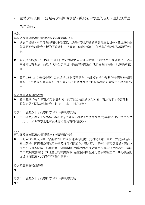2. 重點發展項目 - 诱渦再發展闊讀學習, 攜闊初中學生的視野, 並加強學生

的思維能力

成就

| 以为儿                                                                                       |
|-------------------------------------------------------------------------------------------|
| 再發展及實施閱讀的相關配套(持續獎勵計劃)                                                                     |
| 承去年經驗,本年度閱讀時間重新定位,以提昇學生的閱讀興趣為主要目標。各班按學生<br>學習需要制訂配合目標的閱讀計劃,以營造一個能鼓勵班主任及學科發展閱讀學習的環<br>境。   |
| 對於是次轉變,96.4%初中班主任表示閱讀時間安排有助提升初中學生的閱讀興趣。來年<br>應維持現有做法。而近6成學生表示班本閱讀時間能提升他們的閱讀興趣,反應尚算正<br>面。 |

截至 21/6, 約 73%初中學生完成超過 16 份閱書報告。未達標的學生普遍亦有超過 10 份閱 書報告,整體表現尚算理想。而質素方法,超過 90%學生的閱讀報告質素達合乎標準的水 平。

發展及實施圖書館課程

● 圖書館按 Big 6 資訊技巧設計教材,內容配合歷史與文化科的「資源為本」學習活動, 教學活動於閱讀時間實施,教授中一學生相關知識。

發展以「資源為本」的學科/跨學科主題教學活動

 中一級歷史與文化科透過「秦始皇」為課題,訓練學生搜尋及善用資料的技巧。從習作表 現可見,約 80%學生能掌握搜尋和善用資料的技巧。

反思

再發展及實施閱讀的相關配套 (持續獎勵計劃)

● 只有 40.4%中六及中七學生認同班本閱讀計劃有助提升其閱讀興趣。由非正式訪談所得, 畢業班學生因面對公開試及升學及就業相關工作之龐大壓力,難有心情發展閱讀。因此, 即使引入班本閱讀,亦無助提升閱讀興趣。考慮到學生面對升學及就業抉擇的需要,建議 來年開放閱讀時間,讓班主任於有需要時,抽離個別學生進行各項輔導工作,其他學生則 繼續進行閱讀,以平衡不同學生需要。

發展及實施圖書館課程

N/A

發展以「資源為本」的學科/跨學科主題教學活動

N/A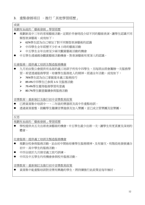3. 重點發展項目 –推行「其他學習經歷」

| 成就                                              |
|-------------------------------------------------|
| 規劃有系統的「藝術發展」學習經歷                                |
| 規劃新高中三年的常規藝術活動,定期於早會時段介紹不同的藝術表演,讓學生認識不同         |
| 類型表演藝術。成效如下:                                    |
| 62%學生認為自己增加了對不同類型表演藝術的認識<br>➤                   |
| 中四學生全年經歷不少於4小時的藝術活動<br>≻                        |
| $\blacktriangleright$<br>中五學生全年出席至少兩次觀賞藝術活動的機會  |
| 中五學生透過親身觀賞藝術活動機會,對表演藝術有更深入的認識。                  |
| <b>汁會服務: 提供義工培訓及製造服務機會</b>                      |
| 九月初由聖公會提供有系統的義工培訓予所有中四學生,另每班由班會籌辦一次服務學          |
| 習。希望透過服務學習,培養學生服務他人的精神。經過全年活動,成效如下:             |
| 76%學生認為自己掌握基本義工服務技巧<br>≻                        |
| $\blacktriangleright$<br>89.4%中四學生已參與 1-5 次服務活動 |
| $\blacktriangleright$<br>79.4%學牛覺得服務學習有意義       |
| $\blacktriangleright$<br>80.7%學牛願意繼續參與服務活動      |
|                                                 |
| 音樂教育:重新制訂及推行初中音樂教育政策                            |
| 已將資源集中培訓中一、二年級的樂器班及高中作重點培訓。                     |
| 透過資源重整,鼓勵學生繼續音樂進修及加入樂團;並已成立管樂團及弦樂團。             |
|                                                 |
| 反思                                              |
| 規劃有系統的「藝術發展」學習經歷                                |
| 學校提供共五次出席表演藝術的機會,中五學生最少出席一次,讓學生有更真實及深刻的         |
| 體會。                                             |
|                                                 |
| 社會服務:提供義工培訓及製造服務機會                              |
| 規劃全校參與服務活動,並由初中開始培養學生服務精神,及有層次、有階段地發展適合         |
| 初中、高中學生的服務活動。                                   |
| 中四全級於九月接受義工技巧訓練。                                |
| 中四及中五學生均有機會參與校外服務活動。                            |
|                                                 |
| 音樂教育:重新制訂及推行初中音樂教育政策                            |
| 資源集中能重點培訓對音樂有興趣的學生,將持續推行此政策並每年檢討。               |
|                                                 |
|                                                 |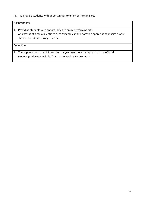III. To provide students with opportunities to enjoy performing arts

#### Achievements

1. Providing students with opportunities to enjoy performing arts An excerpt of a musical entitled "Les Miserables" and notes on appreciating musicals were shown to students through SeeTV.

Reflection

1. The appreciation of Les Miserables this year was more in-depth than that of local student-produced musicals. This can be used again next year.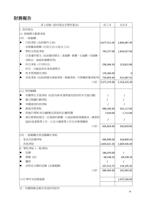財務報告

| 承上結餘 (政府基金及學校基金)               | 收入 \$            | 支出\$         |
|--------------------------------|------------------|--------------|
| I. 政府基金                        |                  |              |
| (1) 營辦開支整筆津貼                   |                  |              |
| (甲) 一般範疇                       |                  |              |
| 行政津貼 (包括額外文員)<br>$\bullet$     | 3,677,411.00     | 2,804,087.49 |
| 非教職員薪酬 (行政主任/文員及工友)            |                  |              |
| 學校及班級津貼                        | 744,277.00       | 1,810,627.69 |
| 日常運作開支 (包括雜用開支、清潔費、郵費、交通費、印刷費、 |                  |              |
| 消耗品、維修保養費用等)                   |                  |              |
| 科目津貼 (不同科目)                    | 238,366.50       | 123,822.80   |
| 科目、功能組別及委員會開支                  |                  |              |
| 校本管理補充津貼                       | 176,366.00       |              |
| 其他津貼 (包括訓練及發展津貼、增補津貼、升降機保養津貼等) | 734,854.40       | 415,687.41   |
|                                | 小結: 5,571,274.90 | 5,154,225.39 |
|                                |                  |              |
| (乙) 特別範疇                       |                  |              |
| 有關學生支援津貼 (包括為新來港學童而設的校本支援計劃)   |                  |              |
| 廣泛閱讀計劃津貼                       |                  |              |
| 有關資訊科技津貼                       |                  |              |
| 創造空間津貼                         | 498,185.00       | 591,117.83   |
| 供推行學校本位輔導及訓育的計劃經費              | 7,639.00         | 1,712.00     |
| 兩位教學助理及一位教師的薪酬,以協助教師預備教具、練習和   |                  |              |
| 協助/負責教學工作,以及分擔教學工作及非專業職務       |                  |              |
| 小結:                            | 505,824.00       | 592,829.83   |
|                                |                  |              |
| (丙) 一般範疇及特別範疇外津貼               |                  |              |
| 家具及設備津貼                        | 490,699.00       | 418,890.54   |
| 其他津貼                           | 2,603,621.26     | 1,669,436.44 |
| 學校津貼 (一般津貼)<br>Π.              |                  |              |
| 堂費<br>●                        | 186,470.00       |              |
| 捐贈 (註)                         | 68,238.24        | 68,238.24    |
| 籌款                             | Τ                | /            |
| 具特定目標的收費 (空調電費)                | 257,513.75       | 119,105.25   |
| 小結:                            | 589,465.00       | 252,965.92   |
|                                |                  |              |
| 11/12 學年完結總盈餘                  |                  | 1,672,536.04 |
|                                |                  |              |

註:有關捐贈金額及用途詳見附件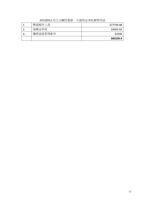2011/2012 成立法團校董會一次過現金津貼實際用途

|          | \$85220.9  |
|----------|------------|
| 購買資產管理軟件 | \$2500     |
| 強積金供款    | \$4925.92  |
| 聘請額外人員   | \$77794.98 |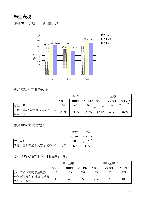學生表現

香港學科(入讀中一前)測驗成績



# 香港高級程度會考成績

|                         | 學校      |       |       | 全港    |                                       |         |
|-------------------------|---------|-------|-------|-------|---------------------------------------|---------|
|                         | 2009/10 |       |       |       | 2010/11   2011/12   2009/10   2010/11 | 2011/12 |
| 考生人數                    | 64      | 64    | 69    |       |                                       |         |
| 考獲大專教育最低入學要求的學 <br>生百分率 | 79.7%   | 79.9% | 66.7% | 47.1% | 46.2%                                 | 46.2%   |

香港中學文憑試成績

|                    | 壆校              | 全港  |
|--------------------|-----------------|-----|
|                    | 2011/12 2011/12 |     |
| 考生人數               | 186             |     |
| 考獲大專教育最低入學要求的學生百分率 | 42%             | 38% |

### 學生參與校際項目和制服團隊的情況

|              | 中一至中三   |         |         | 中四至中七   |         |         |
|--------------|---------|---------|---------|---------|---------|---------|
|              | 2009/10 | 2010/11 | 2011/12 | 2009/10 | 2010/11 | 2011/12 |
| 參與校際活動的學生總數  | 232     | 203     | 352     | 65      |         | 272     |
| 參與制服團隊和社區服務團 |         |         |         |         |         |         |
| 體的學生總數       | 48      | 49      | 22      | 214     | 23      | 409     |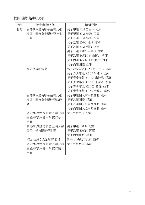# 校際活動獲得的獎項

| 類別 | 比賽/組織名稱             | 獎項詳情                 |
|----|---------------------|----------------------|
| 體育 | 香港學界體育聯會荃灣及離        | 男子甲組 50M 自由泳 冠軍      |
|    | 島區中學分會中學校際游泳        | 男子甲組 50M 蛙泳 亞軍       |
|    | 比賽                  | 男子乙組 50M 蛙泳 冠軍       |
|    |                     | 男子乙組 100M 蛙泳 季軍      |
|    |                     | 男子乙組 50M 蝶泳 冠軍       |
|    |                     | 男子乙組 100M 自由泳 季軍     |
|    |                     | 男子乙組 4x50M 自由接力 季軍   |
|    |                     | 男子丙組 4x50M 四式接力 冠軍   |
|    |                     | 男子丙組團體 亞軍            |
|    | 離島區分齡泳賽             | 男子青少年組 C1 50 米自由式 季軍 |
|    |                     | 男子青少年組 C1 50 米蛙泳 亞軍  |
|    |                     | 男子青少年組 C1 100 米蛙泳 季軍 |
|    |                     | 男子青少年組 C1 200 米背泳 季軍 |
|    |                     | 男子青少年組 C1 100 背泳 亞軍  |
|    |                     | 男子青少年組 C1 50 米蝶泳 季軍  |
|    | 香港學界體育聯會荃灣及離        | 男子甲組個人季軍及團體 殿軍       |
|    | 島區中學分會中學校際越野        | 男子乙組團體 季軍            |
|    | 賽                   | 男子乙組個人冠軍及團體 季軍       |
|    |                     | 男子丙組個人亞軍及團體 殿軍       |
|    | 香港學界體育聯會荃灣及離        | 女子甲組手球 亞軍            |
|    | 島區中學分會中學校際手球        |                      |
|    | 比賽                  |                      |
|    | 香港學界體育聯會荃灣及離        | 男子甲組 5000M 冠軍        |
|    | 島區中學校際田徑比賽          | 男子乙組 3000M 冠軍        |
|    |                     | 女子丙組跳遠 季軍            |
|    | Nike 香港 5 人足球賽 2012 | 男子 14 歲以下組別 殿軍       |
|    | 香港學界體育聯會荃灣及離        | 女子甲組籃球 季軍            |
|    | 島區中學分會中學校際籃球        |                      |
|    | 比賽                  |                      |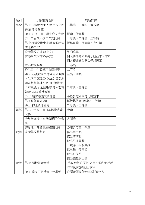| 類別 | 比賽/組織名稱                   | 獎項詳情              |
|----|---------------------------|-------------------|
| 學術 | 第十二屆世界華人學生作文比 二等獎、三等獎、優秀獎 |                   |
|    | 賽(香港分賽區)                  |                   |
|    | 2011-2012 中國中學生作文大賽       | 銀獎、優異獎            |
|    | 第十二屆華人少年作文比賽              | 一等獎、二等獎、三等獎       |
|    | 第十四屆全港中小學普通話演             | 優異星獎、優異獎、良好獎      |
|    | 講比賽 2012                  |                   |
|    | 香港學校朗誦節(中文)               | 集誦季軍              |
|    | 香港學校朗誦節(英文)               | 個人獨誦非公開男子組亞軍、季軍   |
|    |                           | 個人獨誦非公開女子組冠軍      |
|    | 香港數學競賽                    | 二等獎               |
|    | 香港青少年數學精英選拔賽              | 二等獎               |
|    | 2012 港澳數學奧林匹克公開賽          | 金獎、銅獎             |
|    | 《港澳盃 HKMO Open》暨亞洲        |                   |
|    | 國際數學奧林匹克公開選拔賽             |                   |
|    | 「華夏盃」全國數學奧林匹克             | 二等獎、三等獎           |
|    | 初賽 2012(香港賽區)             |                   |
|    | 第 14 屆香港機械奧運會             | 手搖發電獨木舟比賽冠軍       |
|    | 第6屆創協盃 2011               | 超級軌跡賽(高級組)三等獎     |
|    | 2012 物理奧林匹克               | 二等獎、三等獎           |
| 視藝 | 第二十八屆中國日本國際書畫             | 金獎                |
|    | 大賽                        |                   |
|    | 今年聖誕搞乜樹-聖誕樹設計比            | 入圍獎               |
|    | 賽                         |                   |
|    | 游泳池與社區發展繪畫比賽              | 公開組亞軍、季軍          |
| 戲劇 | 香港學校戲劇節                   | 傑出劇本獎             |
|    |                           | 傑出導演獎             |
|    |                           | 傑出男演員獎            |
|    |                           | 三項傑出女演員獎          |
|    |                           | 傑出舞台效果獎           |
|    |                           | 傑出合作獎             |
|    |                           | 傑出整體演出獎           |
| 音樂 | 第 64 屆校際音樂節               | 長笛獨奏(公開組)冠軍、通利琴行盃 |
|    |                           | コ琴獨奏(初級組)季軍       |
|    | 達文西深港青少年鋼琴<br>2011        | 公開賽鋼琴獨奏(四級)第一名    |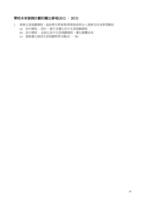## 學校未來發展計劃的關注事項(2012 – 2015)

- 1. 發展生涯規劃課程,協助學生將事業/學業抱負與全人發展及終身學習聯結
	- (a) 初中課程 : 設計、推行及優化初中生涯規劃課程
	- (b) 高中課程 : 系統化高中生涯規劃課程,優化整體成效
	- (c) 重點優化個別生涯規劃教學活動(S3 S6)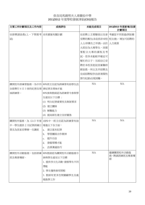### 保良局馬錦明夫人章馥仙中學 2011/2012 年度學校發展津貼(CEG)報告

| 主要工作計劃項目及工作内容                            | 成效評估                                                                                                                         | 未能完成項目                                                                                                                                                                                              | 2012/2013 年度新增/改善<br>計劃項目     |
|------------------------------------------|------------------------------------------------------------------------------------------------------------------------------|-----------------------------------------------------------------------------------------------------------------------------------------------------------------------------------------------------|-------------------------------|
| 安排聘請助教(上、下學期考 未有實施有關計劃<br>試)             |                                                                                                                              | 在招聘上主要聯絡以往曾 考慮從不同渠道(例如藉<br>受聘的舊生(未收到非本校   校友會), 增加可招聘的<br>人士/非舊生之申請)。由於 人力資源<br>大部份為大專學生,因需<br>要配合大專的課程及考<br>試,很多未能較早確定可<br>幫忙的日子;另部份已受<br>聘於本校其他組別兼職時<br>薪助教。所以及早招聘及<br>完成招聘程序(包括查閱性<br>罪行紀錄)出現困難。 |                               |
| 全級舉行4日3夜的紀律及領 善紀律及領袖才能<br>袖訓練營。          | 購買校外訓練營服務,為中四 89%班主任認為訓練營有助學生改<br>89%參與教師認為訓練營令參與學<br>生達至以下目標:<br>(1) 明白紀律重要性及集隊要求<br>(2) 建立團隊<br>(3) 解難能力<br>(4) 提高師生建立良好關係 | N/A                                                                                                                                                                                                 | N/A                           |
| 中一學生提供 2 天紀律訓練日 增進以下各方面:<br>營及為其家長舉辦一次講座 | 購買校外服務,為 12-13 年度 100%中一班主任認為訓練營有助<br>a. 建立基本紀律<br>學習團隊合作精神<br>b.<br>提升自信<br>c.<br>發掘領導才能<br>d.<br>改善溝通技巧<br>e.              | N/A                                                                                                                                                                                                 | N/A                           |
| 班及專業導師。                                  | 購買校外活動服務,包括訓練   90%教師認為購買校外活動服務令<br>參與學生達至以下目標<br>1. 提供多元化活動,發展學生不同<br>潛能<br>2. 學生懂得善用閒暇<br>3. 教師有更多空間關顧學生及處<br>理教學工作        | N/A                                                                                                                                                                                                 | 繼續購買校外活動服<br>務,聘請訓練班及專業導<br>師 |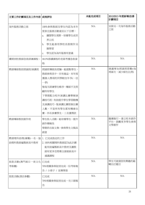| 主要工作計劃項目及工作內容  成效評估                        |                                                                                                                                                                                      | 未能完成項目 | 2012/2013 年度新增/改善<br>計劃項目          |
|--------------------------------------------|--------------------------------------------------------------------------------------------------------------------------------------------------------------------------------------|--------|------------------------------------|
| 海外服務活動之旅                                   | 100%參與教師及學生均認為本年<br>度泰北服務活動達至以下目標:<br>擴闊學生視野,培養學生成世<br>a.<br>界公民<br>學生能善用學校長假期作另<br>b.<br>類學習<br>學生認為海外服務有意義<br>c.                                                                   | N/A    | 安排另一次海外服務活動<br>之旅                  |
| 購買到校教師急救訓練課程。                              | 88.9%修讀課程的老師考獲急救資<br>格                                                                                                                                                               | N/A    | N/A                                |
| 聘請導師教授朗誦班/演講班                              | 朗誦班導師具經驗,能提點學生,<br>教師參與其中,亦有進益。本年度<br>獲個人獎項的同學較往年多(一亞<br>一季)<br>惟每次訓練學生略多,導師不及照<br>顧所有學生<br>下學期配合校外演講比賽舉辦演<br>講技巧班,有助提升學生學習動機<br>及演講技巧。惟演講比賽限制出賽<br>人數,不是所有學生都有機會出<br>賽。四名參賽學生,三名獲獎狀 | N/A    | 建議增加朗誦班節數(每<br>周兩次,減少師生比例)         |
| 聘請導師教授創作班                                  | 學生投入活動,能培養學生,提升<br>創作積極性<br>學期終出版文集,參與學生文稿具<br>創意                                                                                                                                    | N/A    | 繼續推行,建立校本創作<br>平台,鼓勵更多學生參與<br>文學創作 |
| 聘請理科助理(兼職)一名,協 1. 已完成指定的工作<br>助理科教師編製新高中教材 | 2.100%相關理科教師認為此計劃<br>能有助編製新高中教材及讓教<br>師有更多空間專注發展新高中<br>通識課程                                                                                                                          | N/A    | N/A                                |
| 旅款活動(澳門兩日一夜文化 已完成<br>考察團)                  | 70%相關參與組別完成一份考察報<br>告 / 小冊子 / 宣傳單張                                                                                                                                                   | N/A    | 學生可就個別有興趣的範<br>疇自訂題目               |
| 旅款活動(酒店參觀)                                 | 已完成<br>70%相關參與組別完成一次口頭報<br>告                                                                                                                                                         | N/A    | N/A                                |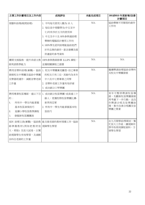| 主要工作計劃項目及工作内容                                                            | 成效評估                                                                                                                                         | 未能完成項目 | 2012/2013 年度新增/改善<br>計劃項目                                                      |
|--------------------------------------------------------------------------|----------------------------------------------------------------------------------------------------------------------------------------------|--------|--------------------------------------------------------------------------------|
| 視藝科助理(晚間助理)                                                              | 1. 平均每次使用人數為10人<br>2. 每位高中視藝學生(中五至中<br>七)均有多於五次的使用率<br>3. 中五及中六生 80%参與過助理<br>舉辦的電腦設計應用工作坊<br>4.100%學生認同助理能協助他們<br>於作品集的創作、意念建構及提<br>供適當的參考資料 | N/A    | 協助舉辦不同類型的創作<br>工作坊                                                             |
| 師英語教學能力                                                                  | 購買支援服務,提升非語文教   100%參與教師修畢 ILLIPS 課程,<br>並獲相關課程之證書                                                                                           | N/A    | N/A                                                                            |
| 發展校友中樂團及協助中樂團<br>及樂器班運作,減輕音樂老師<br>工作量                                    | 聘用音樂科助理(兼職),協助 1. 校友中樂團漸見雛型,但已畢業<br>的校友只有三位。其餘均為本年<br>中六及中七將畢業之同學<br>2. 音樂科老師工作量有效紓緩<br>3. 成功創立口琴樂團                                          | N/A    | 繼續聘請助理協助音樂科<br>及校友中樂團發展                                                        |
| 的:<br>所有中一學生均能掌握<br>1.<br>基本牧笛演奏技巧<br>2.<br>延續小學牧笛教學課程<br>發掘新牧笛團團員<br>3. | 聘用專業牧笛導師,達以下目 1. 成功創立牧笛樂團,成員達三十<br>餘人,更獲校際牧笛樂團比賽-<br>新界西亞軍<br>2. 所有中一學生均能掌握基本牧<br>笛技巧                                                        | N/A    | 來年可暫停聘請牧笛導<br>師,先觀察牧笛樂團發展<br>再考慮下一步行動,並改<br>作聘請合唱及弦樂團助<br>理,集中改善合唱團及弦<br>樂團之質素 |
| 師準備教材(例如把教材放 視障學生學習<br>大、剪貼) 及放大試卷,以幫<br>助視障學生有效學習,及減輕<br>各科任老師的工作量      | SEN 助理文員(兼職),協助教   能支援老師的教材預備工作,協助                                                                                                           | N/A    | 在九月開學前/學期初,幫<br>忙放大工作紙,讓視障同<br>學早些得到課程資料,方<br>便學生學習                            |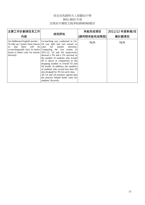### 保良局馬錦明夫人章馥仙中學 2011-2012 年度 加強高中課程支援津貼(ESSCSG)報告

| 主要工作計劃項目及工作                       | 成效評估                                                                                                                                                                                                                                                                                                                                                                                                                                                                                                                                                                                                                                                                                                       | 未能完成項目      | 2011/12 年度新增/改 |
|-----------------------------------|------------------------------------------------------------------------------------------------------------------------------------------------------------------------------------------------------------------------------------------------------------------------------------------------------------------------------------------------------------------------------------------------------------------------------------------------------------------------------------------------------------------------------------------------------------------------------------------------------------------------------------------------------------------------------------------------------------|-------------|----------------|
| 內容                                |                                                                                                                                                                                                                                                                                                                                                                                                                                                                                                                                                                                                                                                                                                            | (請列明未能完成原因) | 善計劃項目          |
| there<br>that<br>SO.<br>diversity | An Additional English teacher :   Co-teaching was conducted in 5A.<br>To take up 3 junior form classes $ 4A$ was split into two classes to<br>will be cater for learner<br>diversity.<br>co-teaching/split class in senior Comparing the two exams in<br>forms to better cater for learner $2011-12$ , 5A and 4A respectively<br>showed a 3% and a 5% increase in<br>the number of students who scored<br>40 or above in comparison to the<br>dropping number in overall S5 and<br>S4 results. In addition, the numbers<br>of students who scored less than 20<br>also dropped by 3% for each class.<br>All 5A and 4A teachers agreed that<br>the practice helped better cater for<br>students' diversity. | N/A         | N/A            |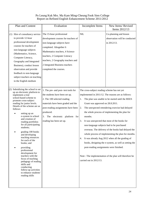### Po Leung Kuk Mrs. Ma Kam Ming-Cheung Fook Sien College Report on Refined English Enhancement Scheme 2011/2012

| Plan and Content                                                                                                                                                                                                                                                                                                                                                                                                                                                                                                                                                                                                                                          | Evaluation                                                                                                                                                                                                                                                                                     | Incomplete Items                                                                                                                                                                                                                       | New Items/Revised<br>Items 2012/13                                                                                                                                                                                                                                                                                                                                                                                                                                                                                                              |
|-----------------------------------------------------------------------------------------------------------------------------------------------------------------------------------------------------------------------------------------------------------------------------------------------------------------------------------------------------------------------------------------------------------------------------------------------------------------------------------------------------------------------------------------------------------------------------------------------------------------------------------------------------------|------------------------------------------------------------------------------------------------------------------------------------------------------------------------------------------------------------------------------------------------------------------------------------------------|----------------------------------------------------------------------------------------------------------------------------------------------------------------------------------------------------------------------------------------|-------------------------------------------------------------------------------------------------------------------------------------------------------------------------------------------------------------------------------------------------------------------------------------------------------------------------------------------------------------------------------------------------------------------------------------------------------------------------------------------------------------------------------------------------|
| (1) Hire of consultancy service<br>to provide 12-hour<br>professional development<br>courses for teachers of<br>non-language subjects<br>(Mathematics, Science,<br>Computer Literacy,<br>Geography and Integrated<br>Business), conduct lesson<br>observation and provide<br>feedback to non-language<br>subject teachers on teaching<br>in the English medium                                                                                                                                                                                                                                                                                            | The 15-hour professional<br>development courses for teachers of<br>non-language subjects have<br>completed. Altogether 6<br>Mathematics teachers, 4 Science<br>teachers, 2 Computer Literacy<br>teachers, 2 Geography teachers and<br>2 Integrated Business teachers<br>completed the courses. | <b>NIL</b>                                                                                                                                                                                                                             | Co-planning and lesson<br>observation will be conducted<br>in 2012/13.                                                                                                                                                                                                                                                                                                                                                                                                                                                                          |
| Subsidizing the school to set<br>(2)<br>up an electronic platform to<br>implement a trial<br>school-based scheme to<br>promote cross-subject<br>reading for junior levels.<br>Details of the scheme are as<br>follows:<br>setting up an<br>e-system in school<br>and creation of<br>reading portfolios<br>for all participating<br>students:<br>grading 100 books<br>and developing<br>teaching resources<br>for each of the<br>books; and<br>providing<br>professional<br>development for<br>teachers with the<br>focus of teaching<br>pedagogy of reading<br>skills and<br>conducting<br>follow-up activities<br>to enhance students'<br>reading skills | 1. The pre- and post- test tools for<br>the students have been set up.<br>2. The 100 selected reading<br>materials have been graded and the<br>post-reading assignments have been<br>produced.<br>3. The electronic platform for<br>reading has been set up.                                   | The cross-subject reading scheme has not yet<br>1.<br>Grant was approved on 28.8.2011.<br>2.<br>months.<br>3.<br>non-language subjects had to be purchased<br>4.<br>post-reading assignments were finished.<br>carried out in 2012/13. | implemented in 2011/12. The reasons are as follows:<br>The plan was unable to be started until the REES<br>The unexpected retendering exercise had delayed<br>the whole process of implementing the plan for<br>It was unexpected that most of the books for<br>overseas. The delivery of the books had delayed the<br>whole process of implementing the plan for months.<br>It was already Aug 2012 when all the grading of<br>books, designing the e-system, as well as setting the<br>Note: The implementation of the plan will therefore be |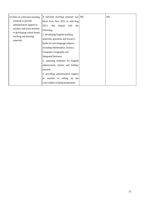| (3) Hire of a full-time teaching                                                  | A full-time teaching assistant was NIL                                                                 | <b>NIL</b> |
|-----------------------------------------------------------------------------------|--------------------------------------------------------------------------------------------------------|------------|
| assistant to provide<br>administrative support to<br>teachers and assist teachers | hired from Nov 2011 to mid-Aug<br>She<br>helped<br>2012.<br>with<br>the<br>following:                  |            |
| in developing school-based<br>teaching and learning<br>materials                  | 1. developing English teaching<br>materials, questions and resource<br>banks for non-language subjects |            |
|                                                                                   | including Mathematics, Science,                                                                        |            |
|                                                                                   | Computer, Geography and<br><b>Integrated Business.</b>                                                 |            |
|                                                                                   | 2. preparing handouts for English                                                                      |            |
|                                                                                   | enhancement classes and holiday<br>tutorials                                                           |            |
|                                                                                   | 3. providing administrative support                                                                    |            |
|                                                                                   | teachers in setting up the<br>to<br>cross-subject reading programme.                                   |            |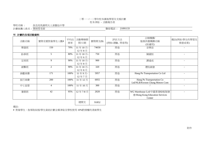#### 二零一一/一二學年校本課後學習及支援計劃 校本津貼 - 活動報告表

學校名稱 : 保良局馬錦明夫人章馥仙中學

計劃統籌人姓名 : 葉綺雯老師 聯絡電話 : 21091133

### 甲**.** 計劃的各項活動資料

| 活動名稱 | 實際受惠對象學生人數#    | 平均出<br>席率 | 活動舉辦期<br>間/日期   | 實際開支(\$) | 評估方法<br>(例如:測驗, 問卷等) | 合辦機構/<br>服務供應機構名稱<br>(如適用)                                            | 備註(例如:學生的學習及<br>情意成果) |
|------|----------------|-----------|-----------------|----------|----------------------|-----------------------------------------------------------------------|-----------------------|
| 樂器班  | 150            | 70%       | 11年10月<br>12年8月 | 74650    | 問卷                   | 音樂苗                                                                   |                       |
| 跆拳班  | 5              | 80%       | 11年10月<br>12年6月 | 750      | 問卷                   | 陳國恒                                                                   |                       |
| 足球班  | 9              | 90%       | 11年10月<br>12年8月 | 900      | 問卷                   | 譚達成                                                                   |                       |
| 劍擊班  | $\overline{2}$ | 90%       | 11年10月<br>12年8月 | 320      | 問卷                   | 禮悅劍會                                                                  |                       |
| 參觀車費 | 171            | 100%      | 11年9月-<br>12年7月 | 5957     | 問卷                   | Hang Po Transportation Co Ltd                                         |                       |
| 旅行車費 | 200            | 100%      | 11年12月          | 6955     | 問卷                   | Hang Po Transportation Co<br>Ltd/NLB/Kwoon Chung Motors Com           |                       |
| 中七宿營 | $\overline{4}$ | 100%      | 11年10月          | 300      | 問卷                   |                                                                       |                       |
| 暑期班  | 42             | 95%       | 12年7-8月         | 2020     | 問卷                   | WG Warehouse Lrd/中國香港啦啦隊總<br>會/Hong Kong Education Services<br>Center |                       |
|      |                |           | 總開支             | 91852    |                      |                                                                       |                       |

備註:

# 對象學生:指領取綜援/學生資助計劃全額津貼及學校使用 10%酌情權的清貧學生